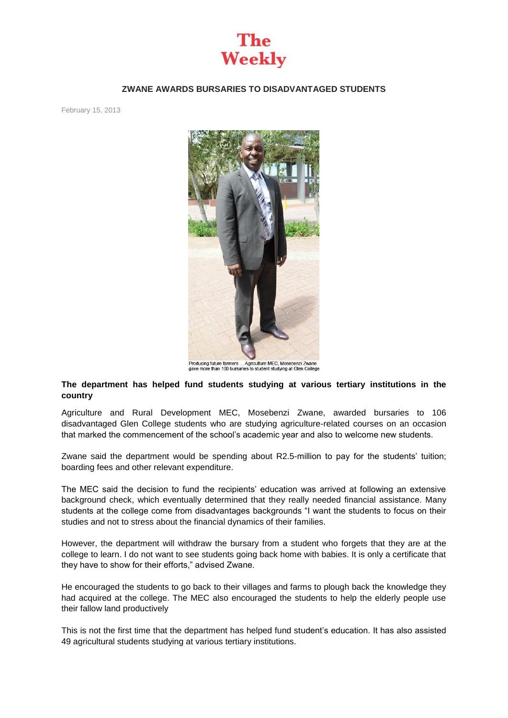

## **ZWANE AWARDS BURSARIES TO DISADVANTAGED STUDENTS**

February 15, 2013



Producing future farmers ... Agriculture MEC, Mosebenzi Zwane<br>gave more than 100 bursaries to student studying at Glen College

## **The department has helped fund students studying at various tertiary institutions in the country**

Agriculture and Rural Development MEC, Mosebenzi Zwane, awarded bursaries to 106 disadvantaged Glen College students who are studying agriculture-related courses on an occasion that marked the commencement of the school's academic year and also to welcome new students.

Zwane said the department would be spending about R2.5-million to pay for the students' tuition; boarding fees and other relevant expenditure.

The MEC said the decision to fund the recipients' education was arrived at following an extensive background check, which eventually determined that they really needed financial assistance. Many students at the college come from disadvantages backgrounds "I want the students to focus on their studies and not to stress about the financial dynamics of their families.

However, the department will withdraw the bursary from a student who forgets that they are at the college to learn. I do not want to see students going back home with babies. It is only a certificate that they have to show for their efforts," advised Zwane.

He encouraged the students to go back to their villages and farms to plough back the knowledge they had acquired at the college. The MEC also encouraged the students to help the elderly people use their fallow land productively

This is not the first time that the department has helped fund student's education. It has also assisted 49 agricultural students studying at various tertiary institutions.